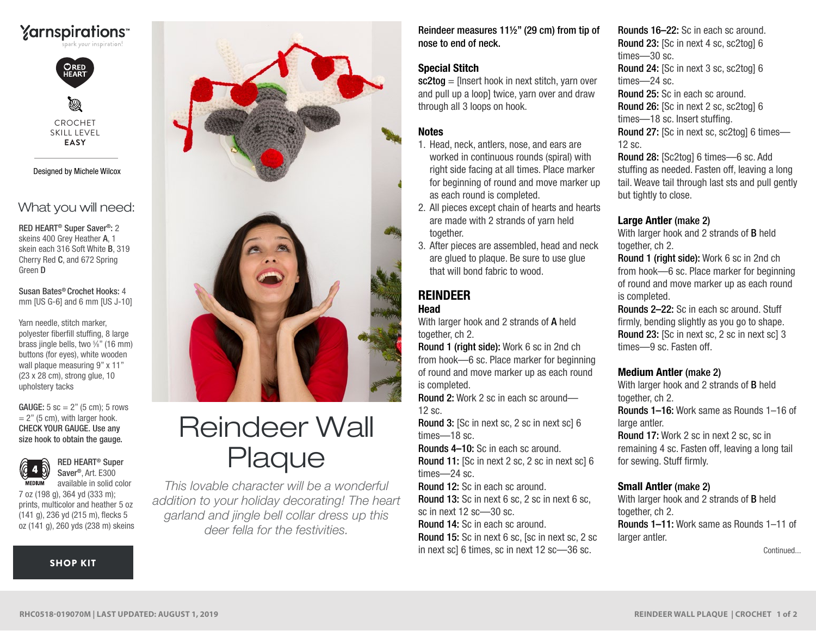



CROCHET SKILL LEVEL **EASY**

Designed by Michele Wilcox

# What you will need:

RED HEART® Super Saver®: 2 skeins 400 Grey Heather A, 1 skein each 316 Soft White B, 319 Cherry Red C, and 672 Spring Green D

Susan Bates® Crochet Hooks: 4 mm [US G-6] and 6 mm [US J-10]

Yarn needle, stitch marker, polyester fiberfill stuffing, 8 large brass jingle bells, two %" (16 mm) buttons (for eyes), white wooden wall plaque measuring 9" x 11" (23 x 28 cm), strong glue, 10 upholstery tacks

 $= 2"$  (5 cm), with larger hook. CHECK YOUR GAUGE. Use any size hook to obtain the gauge. **GAUGE:**  $5 \text{ sc} = 2$ " ( $5 \text{ cm}$ );  $5 \text{ rows}$ 



RED HEART® Super Saver®, Art. E300 available in solid color

7 oz (198 g), 364 yd (333 m); prints, multicolor and heather 5 oz (141 g), 236 yd (215 m), flecks 5 oz (141 g), 260 yds (238 m) skeins

#### [SHOP KIT](https://www.yarnspirations.com/red-heart-reindeer-wall-plaque/RHC0518-019070M.html#utm_source=pdf-yarnspirations&utm_medium=referral&utm_campaign=pdf-RHC0518-019070M)



# Reindeer Wall Plaque

*This lovable character will be a wonderful addition to your holiday decorating! The heart garland and jingle bell collar dress up this deer fella for the festivities.*

Reindeer measures 11½" (29 cm) from tip of nose to end of neck.

### Special Stitch

 $sc2toa =$  [Insert hook in next stitch, varn over and pull up a loop] twice, yarn over and draw through all 3 loops on hook.

# **Notes**

- 1. Head, neck, antlers, nose, and ears are worked in continuous rounds (spiral) with right side facing at all times. Place marker for beginning of round and move marker up as each round is completed.
- 2. All pieces except chain of hearts and hearts are made with 2 strands of yarn held together.
- 3. After pieces are assembled, head and neck are glued to plaque. Be sure to use glue that will bond fabric to wood.

# REINDEER

# Head

With larger hook and 2 strands of A held together, ch 2.

Round 1 (right side): Work 6 sc in 2nd ch from hook—6 sc. Place marker for beginning of round and move marker up as each round is completed.

Round 2: Work 2 sc in each sc around— 12 sc.

Round 3: [Sc in next sc, 2 sc in next sc] 6 times—18 sc.

Rounds 4–10: Sc in each sc around.

Round 11: [Sc in next 2 sc, 2 sc in next sc] 6 times—24 sc.

Round 12: Sc in each sc around.

Round 13: Sc in next 6 sc, 2 sc in next 6 sc, sc in next 12 sc—30 sc.

Round 14: Sc in each sc around.

Round 15: Sc in next 6 sc, [sc in next sc, 2 sc in next sc] 6 times, sc in next 12 sc—36 sc.

Rounds 16–22: Sc in each sc around. Round 23: [Sc in next 4 sc, sc2tog] 6 times—30 sc. Round 24: [Sc in next 3 sc, sc2tog] 6 times—24 sc. Round 25: Sc in each sc around. Round 26: [Sc in next 2 sc, sc2tog] 6 times—18 sc. Insert stuffing. Round 27: [Sc in next sc, sc2tog] 6 times— 12 sc.

Round 28: [Sc2tog] 6 times—6 sc. Add stuffing as needed. Fasten off, leaving a long tail. Weave tail through last sts and pull gently but tightly to close.

### Large Antler (make 2)

With larger hook and 2 strands of **B** held together, ch 2.

Round 1 (right side): Work 6 sc in 2nd ch from hook—6 sc. Place marker for beginning of round and move marker up as each round is completed.

Rounds 2–22: Sc in each sc around. Stuff firmly, bending slightly as you go to shape. Round 23: [Sc in next sc, 2 sc in next sc] 3 times—9 sc. Fasten off.

#### Medium Antler (make 2)

With larger hook and 2 strands of B held together, ch 2. Rounds 1–16: Work same as Rounds 1–16 of large antler.

Round 17: Work 2 sc in next 2 sc, sc in remaining 4 sc. Fasten off, leaving a long tail for sewing. Stuff firmly.

#### Small Antler (make 2)

With larger hook and 2 strands of B held together, ch 2. Rounds 1–11: Work same as Rounds 1–11 of larger antler.

Continued...